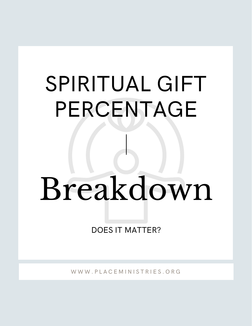## SPIRITUAL GIFT PERCENTAGE

# Breakdown

DOES IT MATTER?

W W W . P L A C E M I N I S T R I E S . O R G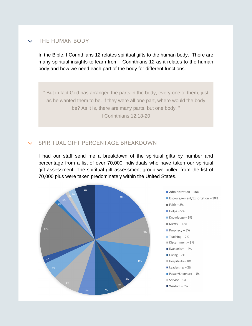#### THE HUMAN BODY  $\checkmark$

In the Bible, I Corinthians 12 relates spiritual gifts to the human body. There are many spiritual insights to learn from I Corinthians 12 as it relates to the human body and how we need each part of the body for different functions.

" But in fact God has arranged the parts in the body, every one of them, just as he wanted them to be. If they were all one part, where would the body be? As it is, there are many parts, but one body. " I Corinthians 12:18-20

### SPIRITUAL GIFT PERCENTAGE BREAKDOWN

I had our staff send me a breakdown of the spiritual gifts by number and percentage from a list of over 70,000 individuals who have taken our spiritual gift assessment. The spiritual gift assessment group we pulled from the list of 70,000 plus were taken predominately within the United States.

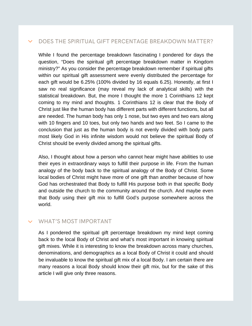#### DOES THE SPIRITUAL GIFT PERCENTAGE BREAKDOWN MATTER?

While I found the percentage breakdown fascinating I pondered for days the question, "Does the spiritual gift percentage breakdown matter in Kingdom ministry?" As you consider the percentage breakdown remember if spiritual gifts within our spiritual gift assessment were evenly distributed the percentage for each gift would be 6.25% (100% divided by 16 equals 6.25). Honestly, at first I saw no real significance (may reveal my lack of analytical skills) with the statistical breakdown. But, the more I thought the more 1 Corinthians 12 kept coming to my mind and thoughts. 1 Corinthians 12 is clear that the Body of Christ just like the human body has different parts with different functions, but all are needed. The human body has only 1 nose, but two eyes and two ears along with 10 fingers and 10 toes, but only two hands and two feet. So I came to the conclusion that just as the human body is not evenly divided with body parts most likely God in His infinite wisdom would not believe the spiritual Body of Christ should be evenly divided among the spiritual gifts.

Also, I thought about how a person who cannot hear might have abilities to use their eyes in extraordinary ways to fulfill their purpose in life. From the human analogy of the body back to the spiritual analogy of the Body of Christ. Some local bodies of Christ might have more of one gift than another because of how God has orchestrated that Body to fulfill His purpose both in that specific Body and outside the church to the community around the church. And maybe even that Body using their gift mix to fulfill God's purpose somewhere across the world.

#### WHAT'S MOST IMPORTANT

As I pondered the spiritual gift percentage breakdown my mind kept coming back to the local Body of Christ and what's most important in knowing spiritual gift mixes. While it is interesting to know the breakdown across many churches, denominations, and demographics as a local Body of Christ it could and should be invaluable to know the spiritual gift mix of a local Body. I am certain there are many reasons a local Body should know their gift mix, but for the sake of this article I will give only three reasons.